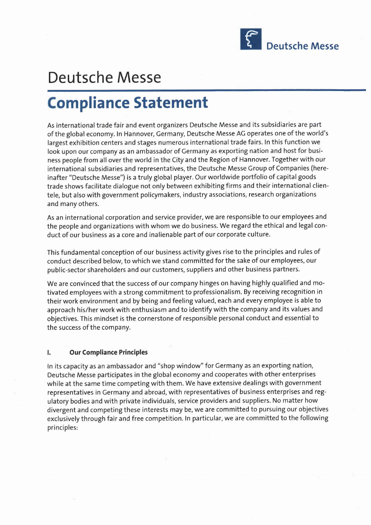

## **Deutsche Messe**

# **Compliance Statement**

As international trade fair and event organizers Deutsche Messe and its subsidiaries are part of the global economy. In Hannover, Germany, Deutsche Messe AG operates one of the world's largest exhibition centers and stages numerous international trade fairs. In this function we look upon our company as an ambassador of Germany as exporting nation and host for business people from all over the world in the City and the Region of Hannover. Together with our international subsidiaries and representatives, the Deutsche Messe Group of Companies (hereinafter "Deutsche Messe") is a truly global player. Our worldwide portfolio of capital goods trade shows facilitate dialogue not only between exhibiting firms and their international clientele, but also with government policymakers, industry associations, research organizations and many others.

As an international corporation and service provider, we are responsible to our employees and the people and organizations with whom we do business. We regard the ethical and legal conduct of our business as a core and inalienable part of our corporate culture.

This fundamental conception of our business activity gives rise to the principles and rules of conduct described below, to which we stand committed for the sake of our employees, our public-sector shareholders and our customers, suppliers and other business partners.

We are convinced that the success of our company hinges on having highly qualified and motivated employees with a strong commitment to professionalism. By receiving recognition in their work environment and by being and feeling valued, each and every employee is able to approach his/her work with enthusiasm and to identify with the company and its values and objectives. This mindset is the cornerstone of responsible personal conduct and essential to the success of the company.

#### **I. Our Compliance Principles**

In its capacity as an ambassador and "shop window" for Germany as an exporting nation, Deutsche Messe participates in the global economy and cooperates with other enterprises while at the same time competing with them. We have extensive dealings with government representatives in Germany and abroad, with representatives of business enterprises and regulatory bodies and with private individuals, service providers and suppliers. No matter how divergent and competing these interests may be, we are committed to pursuing our objectives exclusively through fair and free competition. In particular, we are committed to the following principles: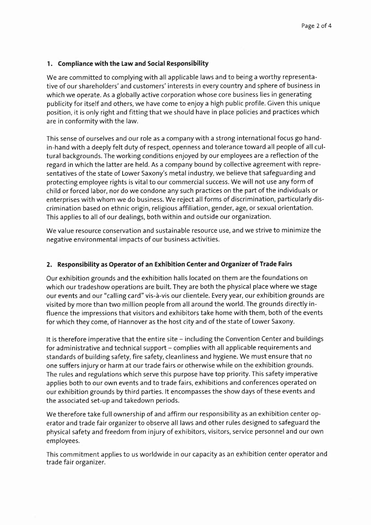#### **1. Compliance with the Law and Social Responsibility**

We are committed to complying with all applicable laws and to being a worthy representative of our shareholders' and customers' interests in every country and sphere of business in which we operate. As a globally active corporation whose core business lies in generating publicity for itself and others, we have come to enjoy a high public profile. Given this unique position, it is only right and fitting that we should have in place policies and practices which are in conformity with the law.

This sense of ourselves and our role as a company with a strong international focus go handin-hand with a deeply felt duty of respect, openness and tolerance toward all people of all cultural backgrounds. The working conditions enjoyed by our employees are a reflection of the regard in which the latter are held. As a company bound by collective agreement with representatives of the state of Lower Saxony's metal industry, we believe that safeguarding and protecting employee rights is vital to our commercial success. We will not use any form of child or forced labor, nor do we condone any such practices on the part of the individuals or enterprises with whom we do business. We reject all forms of discrimination, particularly discrimination based on ethnic origin, religious affiliation, gender, age, or sexual orientation. This applies to all of our dealings, both within and outside our organization.

We value resource conservation and sustainable resource use, and we strive to minimize the negative environmental impacts of our business activities.

#### **2. Responsibility as Operator of an Exhibition Center and Organizer of Trade Fairs**

Our exhibition grounds and the exhibition halls located on them are the foundations on which our tradeshow operations are built. They are both the physical place where we stage our events and our "calling card" vis-a-vis our clientele. Every year, our exhibition grounds are visited by more than two million people from all around the world. The grounds directly influence the impressions that visitors and exhibitors take home with them, both of the events for which they come, of Hannover as the host city and of the state of Lower Saxony.

It is therefore imperative that the entire site – including the Convention Center and buildings for administrative and technical support – complies with all applicable requirements and standards of building safety, fire safety, cleanliness and hygiene. We must ensure that no one suffers injury or harm at our trade fairs or otherwise while on the exhibition grounds. The rules and regulations which serve this purpose have top priority. This safety imperative applies both to our own events and to trade fairs, exhibitions and conferences operated on our exhibition grounds by third parties. It encompasses the show days of these events and the associated set-up and takedown periods.

We therefore take full ownership of and affirm our responsibility as an exhibition center operator and trade fair organizer to observe all laws and other rules designed to safeguard the physical safety and freedom from injury of exhibitors, visitors, service personnel and our own employees.

This commitment applies to us worldwide in our capacity as an exhibition center operator and trade fair organizer.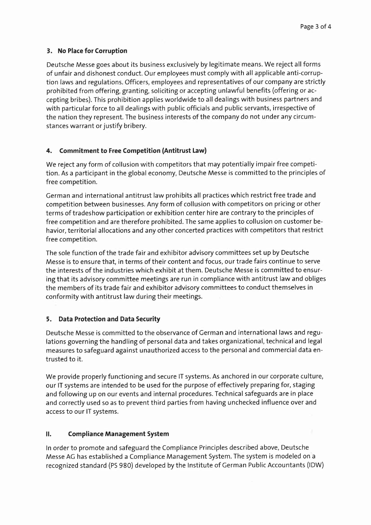### **3. No Placefor Corruption**

Deutsche Messe goes about its business exclusively by legitimate means. We reject all forms of unfair and dishonest conduct. Our employees must comply with all applicable anti-corruption laws and regulations. Officers, employees and representatives of our company are strictly prohibited from offering, granting, soliciting or accepting unlawful benefits (offering or accepting bribes). This prohibition applies worldwide to all dealings with business partners and with particular force to all dealings with public officials and public servants, irrespective of the nation they represent. The business interests of the company do not under any circumstances warrant or justify bribery.

### **4. Commitment to Free Competition {Antitrust Law}**

We reject any form of collusion with competitors that may potentially impair free competition. As a participant in the global economy, Deutsche Messe is committed to the principles of free competition.

German and international antitrust law prohibits all practices which restrict free trade and competition between businesses. Any form of collusion with competitors on pricing or other terms of tradeshow participation or exhibition center hire are contrary to the principles of free competition and are therefore prohibited. The same applies to collusion on customer behavior, territorial allocations and any other concerted practices with competitors that restrict free competition.

The sole function of the trade fair and exhibitor advisory committees set up by Deutsche Messe is to ensure that, in terms of their content and focus, our trade fairs continue to serve the interests of the industries which exhibit at them. Deutsche Messe is committed to ensuring that its advisory committee meetings are run in compliance with antitrust law and obliges the members of its trade fair and exhibitor advisory committees to conduct themselves in conformity with antitrust law during their meetings.

### **5. Data Protection and Data Security**

Deutsche Messe is committed to the observance of German and international laws and regulations governing the handling of personal data and takes organizational, technical and legal measures to safeguard against unauthorized access to the personal and commercial data entrusted to it.

We provide properly functioning and secure IT systems. As anchored in our corporate culture, our IT systems are intended to be used for the purpose of effectively preparing for, staging and following up on our events and internal procedures. Technical safeguards are in place and correctly used so as to prevent third parties from having unchecked influence over and access to our IT systems.

### **II. Compliance Management System**

In order to promote and safeguard the Compliance Principles described above, Deutsche Messe AG has established a Compliance Management System. The system is modeled on a recognized standard (PS980) developed by the Institute of German Public Accountants (IDW)